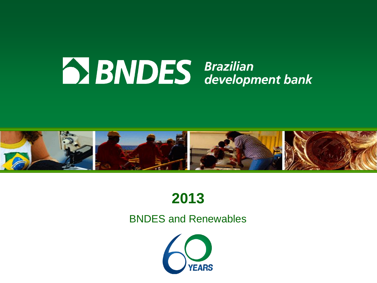



# **2013**

#### BNDES and Renewables

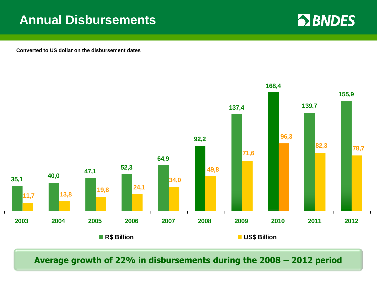### **Annual Disbursements**

**EX BNDES** 

**Converted to US dollar on the disbursement dates**



**Average growth of 22% in disbursements during the 2008 – 2012 period**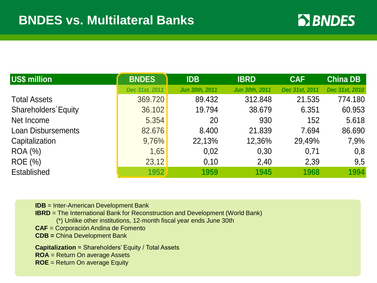

| US\$ million               | <b>BNDES</b>   | <b>IDB</b>            | <b>IBRD</b>           | <b>CAF</b>     | <b>China DB</b> |
|----------------------------|----------------|-----------------------|-----------------------|----------------|-----------------|
|                            | Dec 31st, 2011 | <b>Jun 30th, 2011</b> | <b>Jun 30th, 2011</b> | Dec 31st, 2011 | Dec 31st, 2010  |
| <b>Total Assets</b>        | 369.720        | 89.432                | 312.848               | 21.535         | 774.180         |
| <b>Shareholders Equity</b> | 36.102         | 19.794                | 38.679                | 6.351          | 60.953          |
| Net Income                 | 5.354          | 20                    | 930                   | 152            | 5.618           |
| <b>Loan Disbursements</b>  | 82.676         | 8.400                 | 21.839                | 7.694          | 86.690          |
| Capitalization             | 9,76%          | 22,13%                | 12,36%                | 29,49%         | 7,9%            |
| <b>ROA</b> (%)             | 1,65           | 0,02                  | 0,30                  | 0.71           | 0,8             |
| <b>ROE</b> (%)             | 23,12          | 0,10                  | 2,40                  | 2,39           | 9,5             |
| Established                | 1952           | 1959                  | 1945                  | 1968           | 1994            |

**IDB** = Inter-American Development Bank

**IBRD** = The International Bank for Reconstruction and Development (World Bank)

(\*) Unlike other institutions, 12-month fiscal year ends June 30th

**CAF** = Corporación Andina de Fomento

**CDB =** China Development Bank

**Capitalization** = Shareholders' Equity / Total Assets **ROA** = Return On average Assets **ROE** = Return On average Equity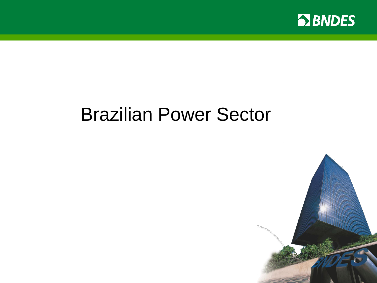

# Brazilian Power Sector

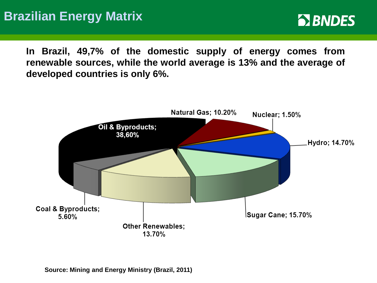**In Brazil, 49,7% of the domestic supply of energy comes from renewable sources, while the world average is 13% and the average of developed countries is only 6%.**

**EX BNDES** 



**Source: Mining and Energy Ministry (Brazil, 2011)**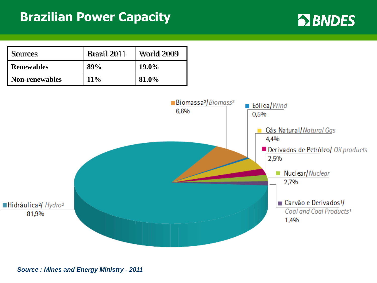#### **Brazilian Power Capacity**

**EX BNDES** 



*Source : Mines and Energy Ministry - 2011*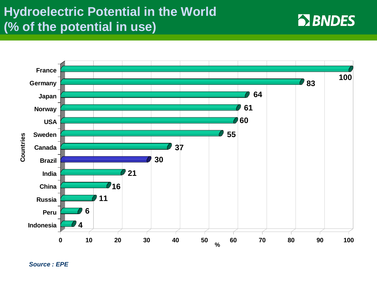## **Hydroelectric Potential in the World (% of the potential in use)**



**EX BNDES** 

*Source : EPE*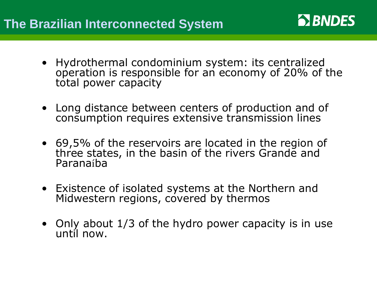• Hydrothermal condominium system: its centralized operation is responsible for an economy of 20% of the total power capacity

**BISON BISON** 

- Long distance between centers of production and of consumption requires extensive transmission lines
- 69,5% of the reservoirs are located in the region of three states, in the basin of the rivers Grande and Paranaíba
- Existence of isolated systems at the Northern and Midwestern regions, covered by thermos
- Only about 1/3 of the hydro power capacity is in use until now.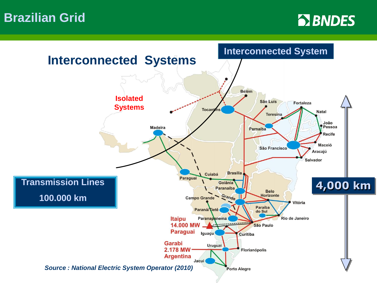**Brazilian Grid**



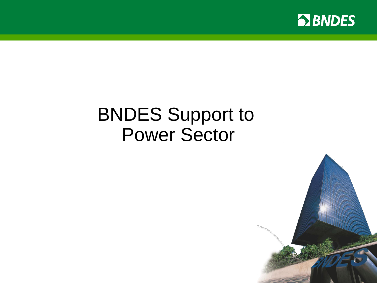

# BNDES Support to Power Sector

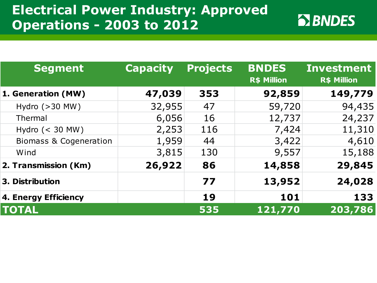# **Electrical Power Industry: Approved Operations - 2003 to 2012**

| <b>Segment</b>                    | <b>Capacity</b> | <b>Projects</b> | <b>BNDES</b><br><b>R\$ Million</b> | <b>Investment</b><br>R\$ Million |
|-----------------------------------|-----------------|-----------------|------------------------------------|----------------------------------|
| 1. Generation (MW)                | 47,039          | 353             | 92,859                             | 149,779                          |
| Hydro $(>30$ MW)                  | 32,955          | 47              | 59,720                             | 94,435                           |
| Thermal                           | 6,056           | 16              | 12,737                             | 24,237                           |
| Hydro $(< 30$ MW)                 | 2,253           | 116             | 7,424                              | 11,310                           |
| <b>Biomass &amp; Cogeneration</b> | 1,959           | 44              | 3,422                              | 4,610                            |
| Wind                              | 3,815           | 130             | 9,557                              | 15,188                           |
| 2. Transmission (Km)              | 26,922          | 86              | 14,858                             | 29,845                           |
| 3. Distribution                   |                 | 77              | 13,952                             | 24,028                           |
| 4. Energy Efficiency              |                 | 19              | 101                                | 133                              |
| <b>TOTAL</b>                      |                 | 535             | 121,770                            | 203,786                          |

**EX BNDES**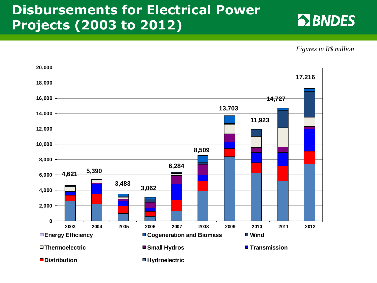# **Disbursements for Electrical Power Projects (2003 to 2012)**



*Figures in R\$ million*

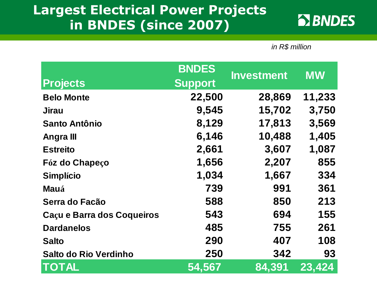## **Largest Electrical Power Projects in BNDES (since 2007)**



*in R\$ million*

|                            | <b>BNDES</b>   | <b>Investment</b> | <b>MW</b> |  |
|----------------------------|----------------|-------------------|-----------|--|
| <b>Projects</b>            | <b>Support</b> |                   |           |  |
| <b>Belo Monte</b>          | 22,500         | 28,869            | 11,233    |  |
| Jirau                      | 9,545          | 15,702            | 3,750     |  |
| <b>Santo Antônio</b>       | 8,129          | 17,813            | 3,569     |  |
| <b>Angralll</b>            | 6,146          | 10,488            | 1,405     |  |
| <b>Estreito</b>            | 2,661          | 3,607             | 1,087     |  |
| Fóz do Chapeço             | 1,656          | 2,207             | 855       |  |
| <b>Simplício</b>           | 1,034          | 1,667             | 334       |  |
| <b>Mauá</b>                | 739            | 991               | 361       |  |
| Serra do Facão             | 588            | 850               | 213       |  |
| Caçu e Barra dos Coqueiros | 543            | 694               | 155       |  |
| <b>Dardanelos</b>          | 485            | 755               | 261       |  |
| <b>Salto</b>               | 290            | 407               | 108       |  |
| Salto do Rio Verdinho      | 250            | 342               | 93        |  |
| <b>TOTAL</b>               | 54,567         | 84,391            | 23,424    |  |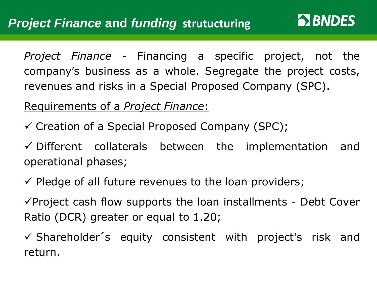*Project Finance* - Financing a specific project, not the company's business as a whole. Segregate the project costs, revenues and risks in a Special Proposed Company (SPC).

**BIBNDES** 

Requirements of a *Project Finance*:

 $\checkmark$  Creation of a Special Proposed Company (SPC);

 $\checkmark$  Different collaterals between the implementation and operational phases;

 $\checkmark$  Pledge of all future revenues to the loan providers;

 $\checkmark$  Project cash flow supports the loan installments - Debt Cover Ratio (DCR) greater or equal to 1.20;

 $\checkmark$  Shareholder's equity consistent with project's risk and return.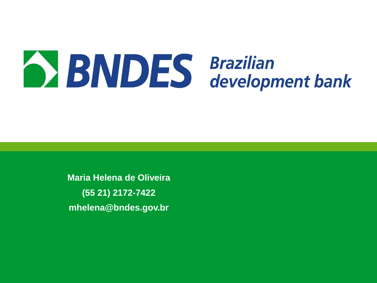

**Maria Helena de Oliveira (55 21) 2172-7422 mhelena@bndes.gov.br**